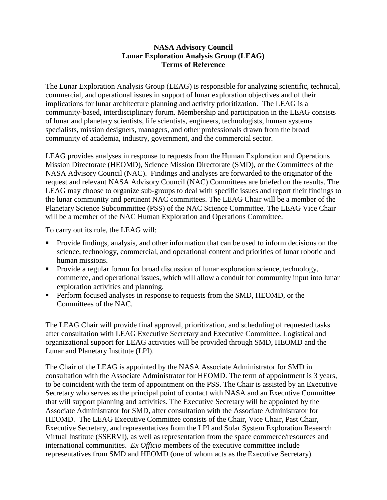## **NASA Advisory Council Lunar Exploration Analysis Group (LEAG) Terms of Reference**

The Lunar Exploration Analysis Group (LEAG) is responsible for analyzing scientific, technical, commercial, and operational issues in support of lunar exploration objectives and of their implications for lunar architecture planning and activity prioritization. The LEAG is a community-based, interdisciplinary forum. Membership and participation in the LEAG consists of lunar and planetary scientists, life scientists, engineers, technologists, human systems specialists, mission designers, managers, and other professionals drawn from the broad community of academia, industry, government, and the commercial sector.

LEAG provides analyses in response to requests from the Human Exploration and Operations Mission Directorate (HEOMD), Science Mission Directorate (SMD), or the Committees of the NASA Advisory Council (NAC). Findings and analyses are forwarded to the originator of the request and relevant NASA Advisory Council (NAC) Committees are briefed on the results. The LEAG may choose to organize sub-groups to deal with specific issues and report their findings to the lunar community and pertinent NAC committees. The LEAG Chair will be a member of the Planetary Science Subcommittee (PSS) of the NAC Science Committee. The LEAG Vice Chair will be a member of the NAC Human Exploration and Operations Committee.

To carry out its role, the LEAG will:

- Provide findings, analysis, and other information that can be used to inform decisions on the science, technology, commercial, and operational content and priorities of lunar robotic and human missions.
- **Provide a regular forum for broad discussion of lunar exploration science, technology,** commerce, and operational issues, which will allow a conduit for community input into lunar exploration activities and planning.
- **Perform focused analyses in response to requests from the SMD, HEOMD, or the** Committees of the NAC.

The LEAG Chair will provide final approval, prioritization, and scheduling of requested tasks after consultation with LEAG Executive Secretary and Executive Committee. Logistical and organizational support for LEAG activities will be provided through SMD, HEOMD and the Lunar and Planetary Institute (LPI).

The Chair of the LEAG is appointed by the NASA Associate Administrator for SMD in consultation with the Associate Administrator for HEOMD. The term of appointment is 3 years, to be coincident with the term of appointment on the PSS. The Chair is assisted by an Executive Secretary who serves as the principal point of contact with NASA and an Executive Committee that will support planning and activities. The Executive Secretary will be appointed by the Associate Administrator for SMD, after consultation with the Associate Administrator for HEOMD. The LEAG Executive Committee consists of the Chair, Vice Chair, Past Chair, Executive Secretary, and representatives from the LPI and Solar System Exploration Research Virtual Institute (SSERVI), as well as representation from the space commerce/resources and international communities. *Ex Officio* members of the executive committee include representatives from SMD and HEOMD (one of whom acts as the Executive Secretary).